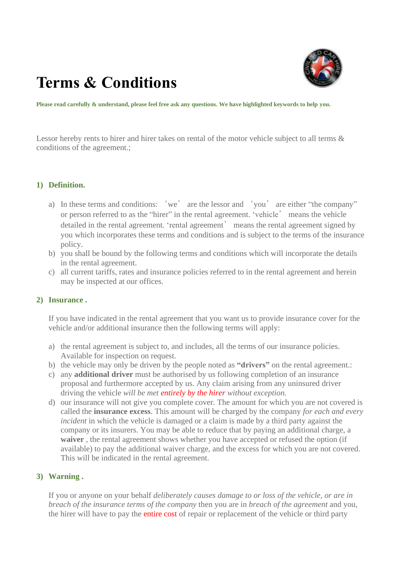# **Terms & Conditions**



**Please read carefully & understand, please feel free ask any questions. We have highlighted keywords to help you.** 

Lessor hereby rents to hirer and hirer takes on rental of the motor vehicle subject to all terms & conditions of the agreement.;

#### **1) Definition.**

- a) In these terms and conditions: 'we' are the lessor and 'you' are either "the company" or person referred to as the "hirer" in the rental agreement. 'vehicle' means the vehicle detailed in the rental agreement. 'rental agreement' means the rental agreement signed by you which incorporates these terms and conditions and is subject to the terms of the insurance policy.
- b) you shall be bound by the following terms and conditions which will incorporate the details in the rental agreement.
- c) all current tariffs, rates and insurance policies referred to in the rental agreement and herein may be inspected at our offices.

#### **2) Insurance .**

If you have indicated in the rental agreement that you want us to provide insurance cover for the vehicle and/or additional insurance then the following terms will apply:

- a) the rental agreement is subject to, and includes, all the terms of our insurance policies. Available for inspection on request.
- b) the vehicle may only be driven by the people noted as **"drivers"** on the rental agreement.:
- c) any **additional driver** must be authorised by us following completion of an insurance proposal and furthermore accepted by us. Any claim arising from any uninsured driver driving the vehicle *will be met entirely by the hirer without exception.*
- d) our insurance will not give you complete cover. The amount for which you are not covered is called the **insurance excess**. This amount will be charged by the company *for each and every incident* in which the vehicle is damaged or a claim is made by a third party against the company or its insurers. You may be able to reduce that by paying an additional charge, a **waiver** , the rental agreement shows whether you have accepted or refused the option (if available) to pay the additional waiver charge, and the excess for which you are not covered. This will be indicated in the rental agreement.

## **3) Warning .**

If you or anyone on your behalf *deliberately causes damage to or loss of the vehicle, or are in breach of the insurance terms of the company* then you are in *breach of the agreement* and you, the hirer will have to pay the entire cost of repair or replacement of the vehicle or third party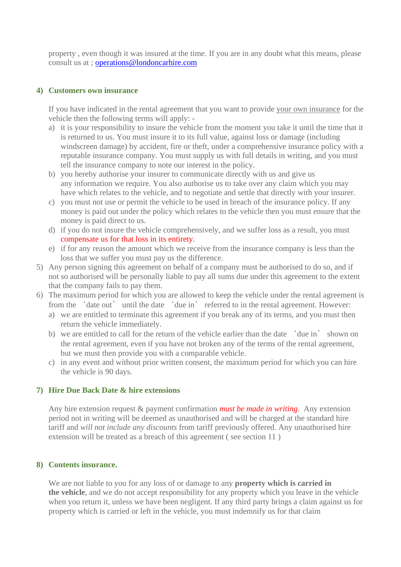property , even though it was insured at the time. If you are in any doubt what this means, please consult us at ; [operations@londoncarhire.com](mailto:operations@londoncarhire.com)

#### **4) Customers own insurance**

If you have indicated in the rental agreement that you want to provide your own insurance for the vehicle then the following terms will apply: -

- a) it is your responsibility to insure the vehicle from the moment you take it until the time that it is returned to us. You must insure it to its full value, against loss or damage (including windscreen damage) by accident, fire or theft, under a comprehensive insurance policy with a reputable insurance company. You must supply us with full details in writing, and you must tell the insurance company to note our interest in the policy.
- b) you hereby authorise your insurer to communicate directly with us and give us any information we require. You also authorise us to take over any claim which you may have which relates to the vehicle, and to negotiate and settle that directly with your insurer.
- c) you must not use or permit the vehicle to be used in breach of the insurance policy. If any money is paid out under the policy which relates to the vehicle then you must ensure that the money is paid direct to us.
- d) if you do not insure the vehicle comprehensively, and we suffer loss as a result, you must compensate us for that loss in its entirety.
- e) if for any reason the amount which we receive from the insurance company is less than the loss that we suffer you must pay us the difference.
- 5) Any person signing this agreement on behalf of a company must be authorised to do so, and if not so authorised will be personally liable to pay all sums due under this agreement to the extent that the company fails to pay them.
- 6) The maximum period for which you are allowed to keep the vehicle under the rental agreement is from the 'date out' until the date 'due in' referred to in the rental agreement. However:
	- a) we are entitled to terminate this agreement if you break any of its terms, and you must then return the vehicle immediately.
	- b) we are entitled to call for the return of the vehicle earlier than the date 'due in' shown on the rental agreement, even if you have not broken any of the terms of the rental agreement, but we must then provide you with a comparable vehicle.
	- c) in any event and without prior written consent, the maximum period for which you can hire the vehicle is 90 days.

## **7) Hire Due Back Date & hire extensions**

Any hire extension request & payment confirmation *must be made in writing.* Any extension period not in writing will be deemed as unauthorised and will be charged at the standard hire tariff and *will not include any discounts* from tariff previously offered. Any unauthorised hire extension will be treated as a breach of this agreement ( see section 11 )

#### **8) Contents insurance.**

We are not liable to you for any loss of or damage to any **property which is carried in the vehicle**, and we do not accept responsibility for any property which you leave in the vehicle when you return it, unless we have been negligent. If any third party brings a claim against us for property which is carried or left in the vehicle, you must indemnify us for that claim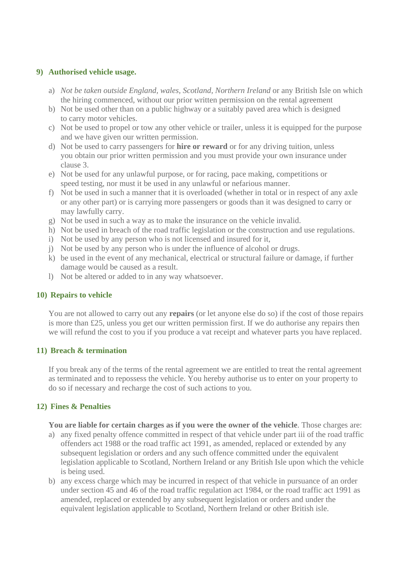### **9) Authorised vehicle usage.**

- a) *Not be taken outside England, wales, Scotland, Northern Ireland* or any British Isle on which the hiring commenced, without our prior written permission on the rental agreement
- b) Not be used other than on a public highway or a suitably paved area which is designed to carry motor vehicles.
- c) Not be used to propel or tow any other vehicle or trailer, unless it is equipped for the purpose and we have given our written permission.
- d) Not be used to carry passengers for **hire or reward** or for any driving tuition, unless you obtain our prior written permission and you must provide your own insurance under clause 3.
- e) Not be used for any unlawful purpose, or for racing, pace making, competitions or speed testing, nor must it be used in any unlawful or nefarious manner.
- f) Not be used in such a manner that it is overloaded (whether in total or in respect of any axle or any other part) or is carrying more passengers or goods than it was designed to carry or may lawfully carry.
- g) Not be used in such a way as to make the insurance on the vehicle invalid.
- h) Not be used in breach of the road traffic legislation or the construction and use regulations.
- i) Not be used by any person who is not licensed and insured for it,
- j) Not be used by any person who is under the influence of alcohol or drugs.
- k) be used in the event of any mechanical, electrical or structural failure or damage, if further damage would be caused as a result.
- l) Not be altered or added to in any way whatsoever.

## **10) Repairs to vehicle**

You are not allowed to carry out any **repairs** (or let anyone else do so) if the cost of those repairs is more than £25, unless you get our written permission first. If we do authorise any repairs then we will refund the cost to you if you produce a vat receipt and whatever parts you have replaced.

#### **11) Breach & termination**

If you break any of the terms of the rental agreement we are entitled to treat the rental agreement as terminated and to repossess the vehicle. You hereby authorise us to enter on your property to do so if necessary and recharge the cost of such actions to you.

## **12) Fines & Penalties**

**You are liable for certain charges as if you were the owner of the vehicle**. Those charges are:

- a) any fixed penalty offence committed in respect of that vehicle under part iii of the road traffic offenders act 1988 or the road traffic act 1991, as amended, replaced or extended by any subsequent legislation or orders and any such offence committed under the equivalent legislation applicable to Scotland, Northern Ireland or any British Isle upon which the vehicle is being used.
- b) any excess charge which may be incurred in respect of that vehicle in pursuance of an order under section 45 and 46 of the road traffic regulation act 1984, or the road traffic act 1991 as amended, replaced or extended by any subsequent legislation or orders and under the equivalent legislation applicable to Scotland, Northern Ireland or other British isle.